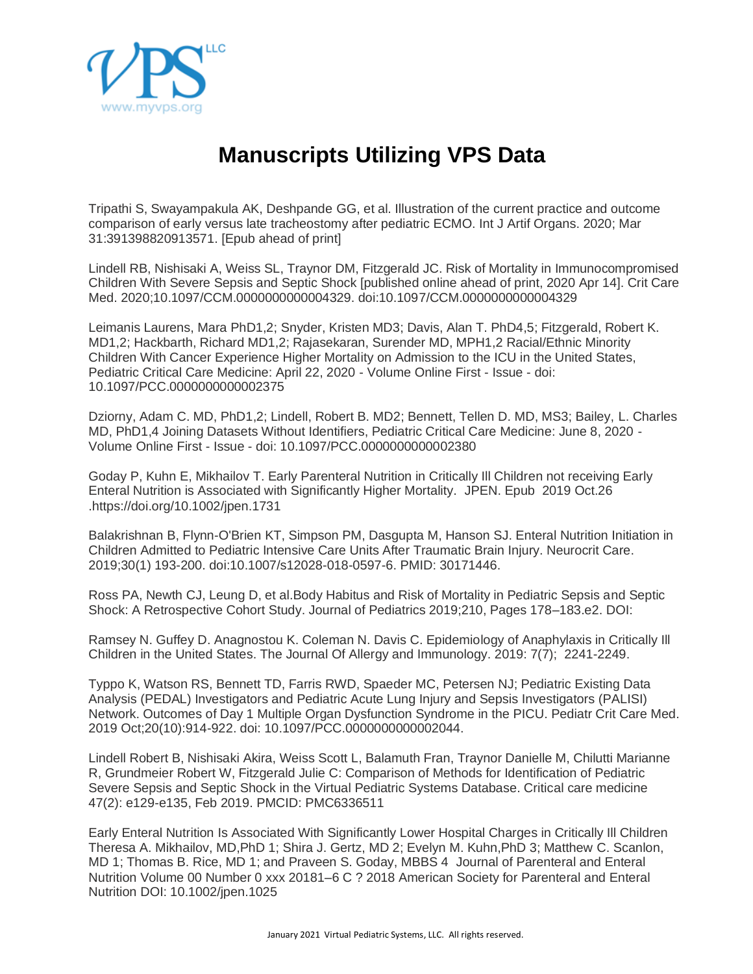

## **Manuscripts Utilizing VPS Data**

Tripathi S, Swayampakula AK, Deshpande GG, et al. Illustration of the current practice and outcome comparison of early versus late tracheostomy after pediatric ECMO. Int J Artif Organs. 2020; Mar 31:391398820913571. [Epub ahead of print]

Lindell RB, Nishisaki A, Weiss SL, Traynor DM, Fitzgerald JC. Risk of Mortality in Immunocompromised Children With Severe Sepsis and Septic Shock [published online ahead of print, 2020 Apr 14]. Crit Care Med. 2020;10.1097/CCM.0000000000004329. doi:10.1097/CCM.0000000000004329

Leimanis Laurens, Mara PhD1,2; Snyder, Kristen MD3; Davis, Alan T. PhD4,5; Fitzgerald, Robert K. MD1,2; Hackbarth, Richard MD1,2; Rajasekaran, Surender MD, MPH1,2 Racial/Ethnic Minority Children With Cancer Experience Higher Mortality on Admission to the ICU in the United States, Pediatric Critical Care Medicine: April 22, 2020 - Volume Online First - Issue - doi: 10.1097/PCC.0000000000002375

Dziorny, Adam C. MD, PhD1,2; Lindell, Robert B. MD2; Bennett, Tellen D. MD, MS3; Bailey, L. Charles MD, PhD1,4 Joining Datasets Without Identifiers, Pediatric Critical Care Medicine: June 8, 2020 - Volume Online First - Issue - doi: 10.1097/PCC.0000000000002380

Goday P, Kuhn E, Mikhailov T. Early Parenteral Nutrition in Critically Ill Children not receiving Early Enteral Nutrition is Associated with Significantly Higher Mortality. JPEN. Epub 2019 Oct.26 .https://doi.org/10.1002/jpen.1731

Balakrishnan B, Flynn-O'Brien KT, Simpson PM, Dasgupta M, Hanson SJ. Enteral Nutrition Initiation in Children Admitted to Pediatric Intensive Care Units After Traumatic Brain Injury. Neurocrit Care. 2019;30(1) 193-200. doi:10.1007/s12028-018-0597-6. PMID: 30171446.

Ross PA, Newth CJ, Leung D, et al.Body Habitus and Risk of Mortality in Pediatric Sepsis and Septic Shock: A Retrospective Cohort Study. Journal of Pediatrics 2019;210, Pages 178–183.e2. DOI:

Ramsey N. Guffey D. Anagnostou K. Coleman N. Davis C. Epidemiology of Anaphylaxis in Critically Ill Children in the United States. The Journal Of Allergy and Immunology. 2019: 7(7); 2241-2249.

Typpo K, Watson RS, Bennett TD, Farris RWD, Spaeder MC, Petersen NJ; Pediatric Existing Data Analysis (PEDAL) Investigators and Pediatric Acute Lung Injury and Sepsis Investigators (PALISI) Network. Outcomes of Day 1 Multiple Organ Dysfunction Syndrome in the PICU. Pediatr Crit Care Med. 2019 Oct;20(10):914-922. doi: 10.1097/PCC.0000000000002044.

Lindell Robert B, Nishisaki Akira, Weiss Scott L, Balamuth Fran, Traynor Danielle M, Chilutti Marianne R, Grundmeier Robert W, Fitzgerald Julie C: Comparison of Methods for Identification of Pediatric Severe Sepsis and Septic Shock in the Virtual Pediatric Systems Database. Critical care medicine 47(2): e129-e135, Feb 2019. PMCID: PMC6336511

Early Enteral Nutrition Is Associated With Significantly Lower Hospital Charges in Critically Ill Children Theresa A. Mikhailov, MD,PhD 1; Shira J. Gertz, MD 2; Evelyn M. Kuhn,PhD 3; Matthew C. Scanlon, MD 1; Thomas B. Rice, MD 1; and Praveen S. Goday, MBBS 4 Journal of Parenteral and Enteral Nutrition Volume 00 Number 0 xxx 20181–6 C ? 2018 American Society for Parenteral and Enteral Nutrition DOI: 10.1002/jpen.1025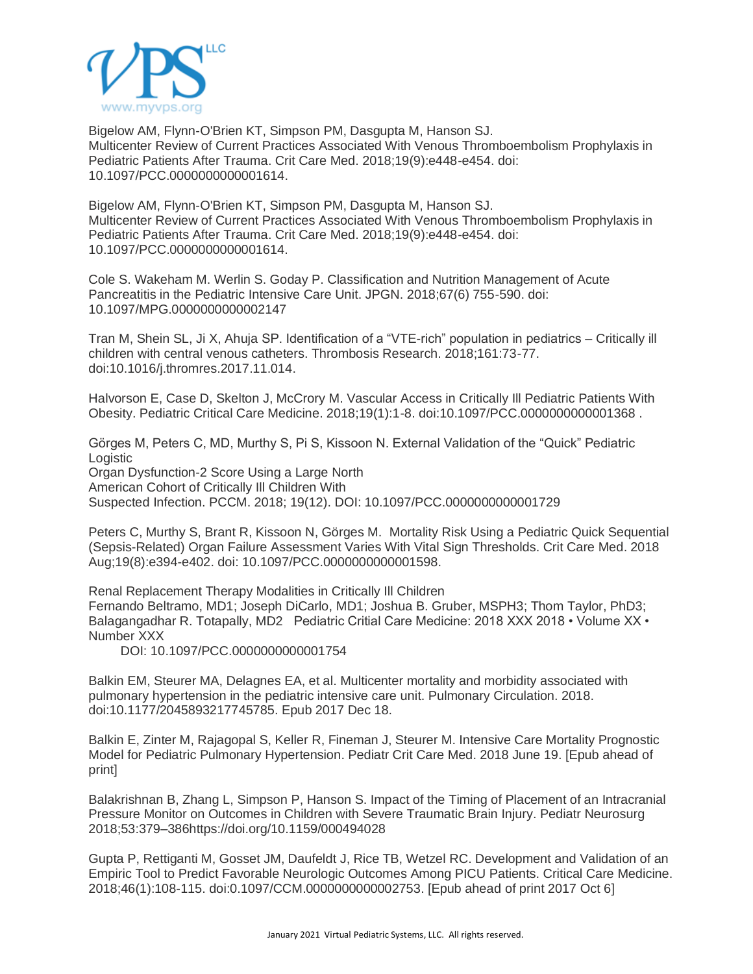

Bigelow AM, Flynn-O'Brien KT, Simpson PM, Dasgupta M, Hanson SJ. Multicenter Review of Current Practices Associated With Venous Thromboembolism Prophylaxis in Pediatric Patients After Trauma. Crit Care Med. 2018;19(9):e448-e454. doi: 10.1097/PCC.0000000000001614.

Bigelow AM, Flynn-O'Brien KT, Simpson PM, Dasgupta M, Hanson SJ. Multicenter Review of Current Practices Associated With Venous Thromboembolism Prophylaxis in Pediatric Patients After Trauma. Crit Care Med. 2018;19(9):e448-e454. doi: 10.1097/PCC.0000000000001614.

Cole S. Wakeham M. Werlin S. Goday P. Classification and Nutrition Management of Acute Pancreatitis in the Pediatric Intensive Care Unit. JPGN. 2018;67(6) 755-590. doi: 10.1097/MPG.0000000000002147

Tran M, Shein SL, Ji X, Ahuja SP. Identification of a "VTE-rich" population in pediatrics – Critically ill children with central venous catheters. Thrombosis Research. 2018;161:73-77. doi:10.1016/j.thromres.2017.11.014.

Halvorson E, Case D, Skelton J, McCrory M. Vascular Access in Critically Ill Pediatric Patients With Obesity. Pediatric Critical Care Medicine. 2018;19(1):1-8. doi:10.1097/PCC.0000000000001368 .

Görges M, Peters C, MD, Murthy S, Pi S, Kissoon N. External Validation of the "Quick" Pediatric Logistic Organ Dysfunction-2 Score Using a Large North American Cohort of Critically Ill Children With

Suspected Infection. PCCM. 2018; 19(12). DOI: 10.1097/PCC.0000000000001729

Peters C, Murthy S, Brant R, Kissoon N, Görges M. Mortality Risk Using a Pediatric Quick Sequential (Sepsis-Related) Organ Failure Assessment Varies With Vital Sign Thresholds. Crit Care Med. 2018 Aug;19(8):e394-e402. doi: 10.1097/PCC.0000000000001598.

Renal Replacement Therapy Modalities in Critically Ill Children Fernando Beltramo, MD1; Joseph DiCarlo, MD1; Joshua B. Gruber, MSPH3; Thom Taylor, PhD3; Balagangadhar R. Totapally, MD2 Pediatric Critial Care Medicine: 2018 XXX 2018 • Volume XX • Number XXX

DOI: 10.1097/PCC.0000000000001754

Balkin EM, Steurer MA, Delagnes EA, et al. Multicenter mortality and morbidity associated with pulmonary hypertension in the pediatric intensive care unit. Pulmonary Circulation. 2018. doi:10.1177/2045893217745785. Epub 2017 Dec 18.

Balkin E, Zinter M, Rajagopal S, Keller R, Fineman J, Steurer M. Intensive Care Mortality Prognostic Model for Pediatric Pulmonary Hypertension. Pediatr Crit Care Med. 2018 June 19. [Epub ahead of print]

Balakrishnan B, Zhang L, Simpson P, Hanson S. Impact of the Timing of Placement of an Intracranial Pressure Monitor on Outcomes in Children with Severe Traumatic Brain Injury. Pediatr Neurosurg 2018;53:379–386https://doi.org/10.1159/000494028

Gupta P, Rettiganti M, Gosset JM, Daufeldt J, Rice TB, Wetzel RC. Development and Validation of an Empiric Tool to Predict Favorable Neurologic Outcomes Among PICU Patients. Critical Care Medicine. 2018;46(1):108-115. doi:0.1097/CCM.0000000000002753. [Epub ahead of print 2017 Oct 6]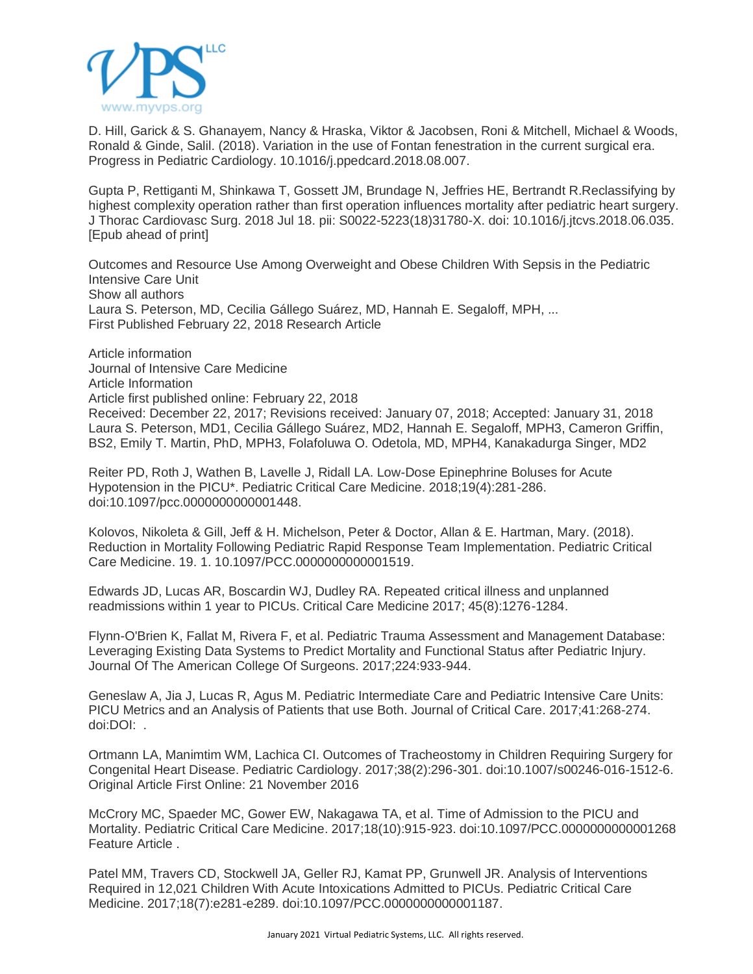

D. Hill, Garick & S. Ghanayem, Nancy & Hraska, Viktor & Jacobsen, Roni & Mitchell, Michael & Woods, Ronald & Ginde, Salil. (2018). Variation in the use of Fontan fenestration in the current surgical era. Progress in Pediatric Cardiology. 10.1016/j.ppedcard.2018.08.007.

Gupta P, Rettiganti M, Shinkawa T, Gossett JM, Brundage N, Jeffries HE, Bertrandt R.Reclassifying by highest complexity operation rather than first operation influences mortality after pediatric heart surgery. J Thorac Cardiovasc Surg. 2018 Jul 18. pii: S0022-5223(18)31780-X. doi: 10.1016/j.jtcvs.2018.06.035. [Epub ahead of print]

Outcomes and Resource Use Among Overweight and Obese Children With Sepsis in the Pediatric Intensive Care Unit Show all authors Laura S. Peterson, MD, Cecilia Gállego Suárez, MD, Hannah E. Segaloff, MPH, ... First Published February 22, 2018 Research Article

Article information Journal of Intensive Care Medicine Article Information Article first published online: February 22, 2018 Received: December 22, 2017; Revisions received: January 07, 2018; Accepted: January 31, 2018 Laura S. Peterson, MD1, Cecilia Gállego Suárez, MD2, Hannah E. Segaloff, MPH3, Cameron Griffin, BS2, Emily T. Martin, PhD, MPH3, Folafoluwa O. Odetola, MD, MPH4, Kanakadurga Singer, MD2

Reiter PD, Roth J, Wathen B, Lavelle J, Ridall LA. Low-Dose Epinephrine Boluses for Acute Hypotension in the PICU\*. Pediatric Critical Care Medicine. 2018;19(4):281-286. doi:10.1097/pcc.0000000000001448.

Kolovos, Nikoleta & Gill, Jeff & H. Michelson, Peter & Doctor, Allan & E. Hartman, Mary. (2018). Reduction in Mortality Following Pediatric Rapid Response Team Implementation. Pediatric Critical Care Medicine. 19. 1. 10.1097/PCC.0000000000001519.

Edwards JD, Lucas AR, Boscardin WJ, Dudley RA. Repeated critical illness and unplanned readmissions within 1 year to PICUs. Critical Care Medicine 2017; 45(8):1276-1284.

Flynn-O'Brien K, Fallat M, Rivera F, et al. Pediatric Trauma Assessment and Management Database: Leveraging Existing Data Systems to Predict Mortality and Functional Status after Pediatric Injury. Journal Of The American College Of Surgeons. 2017;224:933-944.

Geneslaw A, Jia J, Lucas R, Agus M. Pediatric Intermediate Care and Pediatric Intensive Care Units: PICU Metrics and an Analysis of Patients that use Both. Journal of Critical Care. 2017;41:268-274. doi:DOI: .

Ortmann LA, Manimtim WM, Lachica CI. Outcomes of Tracheostomy in Children Requiring Surgery for Congenital Heart Disease. Pediatric Cardiology. 2017;38(2):296-301. doi:10.1007/s00246-016-1512-6. Original Article First Online: 21 November 2016

McCrory MC, Spaeder MC, Gower EW, Nakagawa TA, et al. Time of Admission to the PICU and Mortality. Pediatric Critical Care Medicine. 2017;18(10):915-923. doi:10.1097/PCC.0000000000001268 Feature Article .

Patel MM, Travers CD, Stockwell JA, Geller RJ, Kamat PP, Grunwell JR. Analysis of Interventions Required in 12,021 Children With Acute Intoxications Admitted to PICUs. Pediatric Critical Care Medicine. 2017;18(7):e281-e289. doi:10.1097/PCC.0000000000001187.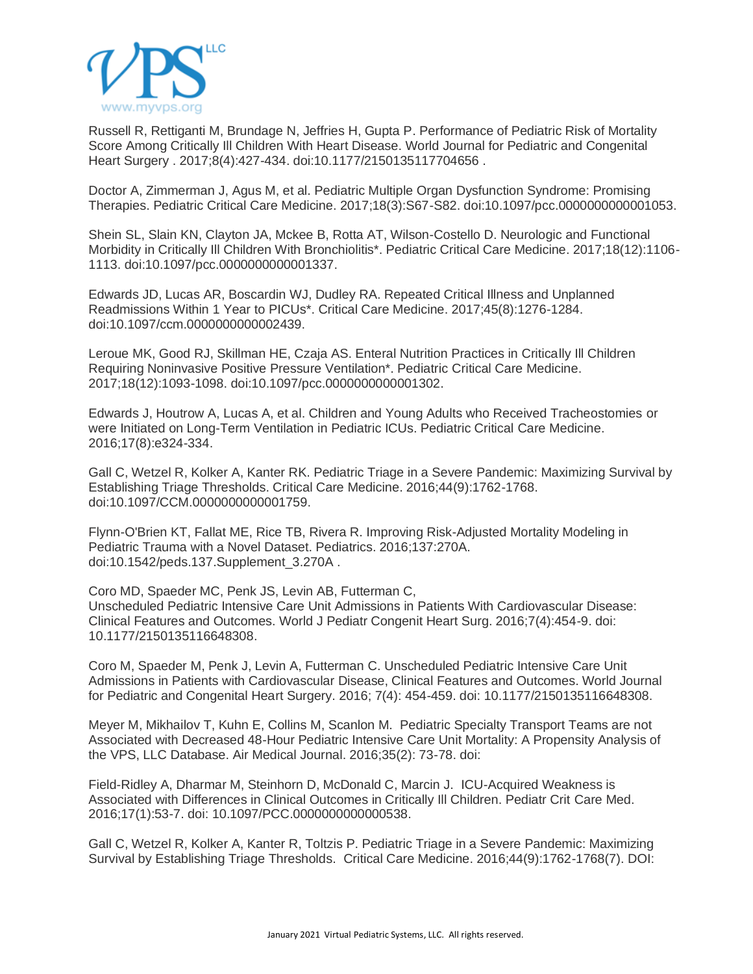

Russell R, Rettiganti M, Brundage N, Jeffries H, Gupta P. Performance of Pediatric Risk of Mortality Score Among Critically Ill Children With Heart Disease. World Journal for Pediatric and Congenital Heart Surgery . 2017;8(4):427-434. doi:10.1177/2150135117704656 .

Doctor A, Zimmerman J, Agus M, et al. Pediatric Multiple Organ Dysfunction Syndrome: Promising Therapies. Pediatric Critical Care Medicine. 2017;18(3):S67-S82. doi:10.1097/pcc.0000000000001053.

Shein SL, Slain KN, Clayton JA, Mckee B, Rotta AT, Wilson-Costello D. Neurologic and Functional Morbidity in Critically Ill Children With Bronchiolitis\*. Pediatric Critical Care Medicine. 2017;18(12):1106- 1113. doi:10.1097/pcc.0000000000001337.

Edwards JD, Lucas AR, Boscardin WJ, Dudley RA. Repeated Critical Illness and Unplanned Readmissions Within 1 Year to PICUs\*. Critical Care Medicine. 2017;45(8):1276-1284. doi:10.1097/ccm.0000000000002439.

Leroue MK, Good RJ, Skillman HE, Czaja AS. Enteral Nutrition Practices in Critically Ill Children Requiring Noninvasive Positive Pressure Ventilation\*. Pediatric Critical Care Medicine. 2017;18(12):1093-1098. doi:10.1097/pcc.0000000000001302.

Edwards J, Houtrow A, Lucas A, et al. Children and Young Adults who Received Tracheostomies or were Initiated on Long-Term Ventilation in Pediatric ICUs. Pediatric Critical Care Medicine. 2016;17(8):e324-334.

Gall C, Wetzel R, Kolker A, Kanter RK. Pediatric Triage in a Severe Pandemic: Maximizing Survival by Establishing Triage Thresholds. Critical Care Medicine. 2016;44(9):1762-1768. doi:10.1097/CCM.0000000000001759.

Flynn-O'Brien KT, Fallat ME, Rice TB, Rivera R. Improving Risk-Adjusted Mortality Modeling in Pediatric Trauma with a Novel Dataset. Pediatrics. 2016;137:270A. doi:10.1542/peds.137.Supplement\_3.270A .

Coro MD, Spaeder MC, Penk JS, Levin AB, Futterman C, Unscheduled Pediatric Intensive Care Unit Admissions in Patients With Cardiovascular Disease: Clinical Features and Outcomes. World J Pediatr Congenit Heart Surg. 2016;7(4):454-9. doi: 10.1177/2150135116648308.

Coro M, Spaeder M, Penk J, Levin A, Futterman C. Unscheduled Pediatric Intensive Care Unit Admissions in Patients with Cardiovascular Disease, Clinical Features and Outcomes. World Journal for Pediatric and Congenital Heart Surgery. 2016; 7(4): 454-459. doi: 10.1177/2150135116648308.

Meyer M, Mikhailov T, Kuhn E, Collins M, Scanlon M. Pediatric Specialty Transport Teams are not Associated with Decreased 48-Hour Pediatric Intensive Care Unit Mortality: A Propensity Analysis of the VPS, LLC Database. Air Medical Journal. 2016;35(2): 73-78. doi:

Field-Ridley A, Dharmar M, Steinhorn D, McDonald C, Marcin J. ICU-Acquired Weakness is Associated with Differences in Clinical Outcomes in Critically Ill Children. Pediatr Crit Care Med. 2016;17(1):53-7. doi: 10.1097/PCC.0000000000000538.

Gall C, Wetzel R, Kolker A, Kanter R, Toltzis P. Pediatric Triage in a Severe Pandemic: Maximizing Survival by Establishing Triage Thresholds. Critical Care Medicine. 2016;44(9):1762-1768(7). DOI: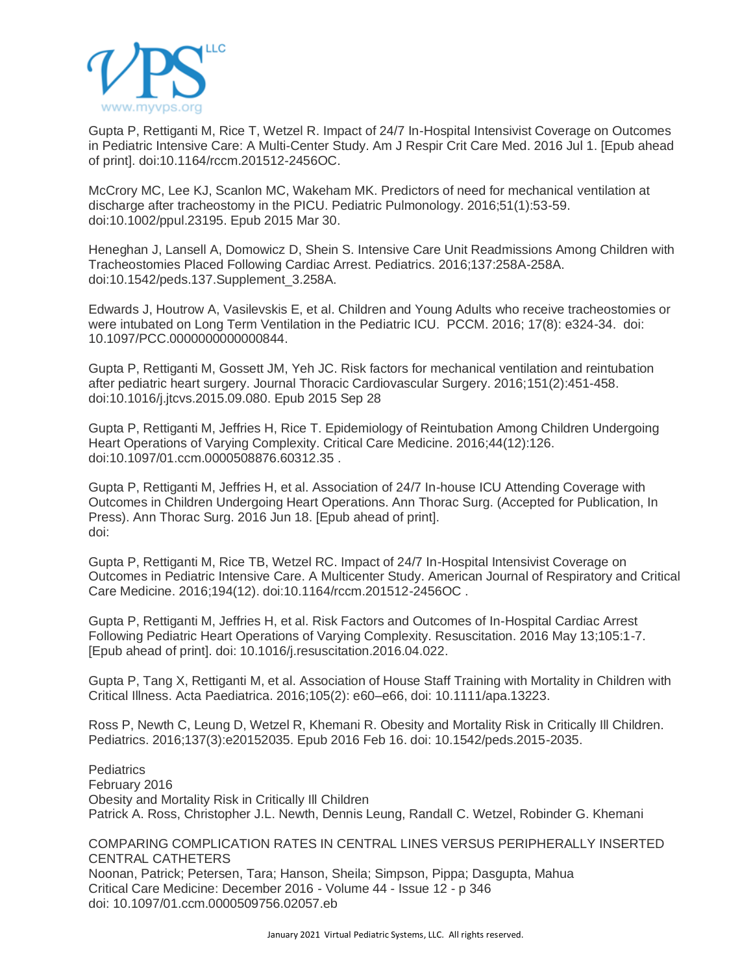

Gupta P, Rettiganti M, Rice T, Wetzel R. Impact of 24/7 In-Hospital Intensivist Coverage on Outcomes in Pediatric Intensive Care: A Multi-Center Study. Am J Respir Crit Care Med. 2016 Jul 1. [Epub ahead of print]. doi:10.1164/rccm.201512-2456OC.

McCrory MC, Lee KJ, Scanlon MC, Wakeham MK. Predictors of need for mechanical ventilation at discharge after tracheostomy in the PICU. Pediatric Pulmonology. 2016;51(1):53-59. doi:10.1002/ppul.23195. Epub 2015 Mar 30.

Heneghan J, Lansell A, Domowicz D, Shein S. Intensive Care Unit Readmissions Among Children with Tracheostomies Placed Following Cardiac Arrest. Pediatrics. 2016;137:258A-258A. doi:10.1542/peds.137.Supplement\_3.258A.

Edwards J, Houtrow A, Vasilevskis E, et al. Children and Young Adults who receive tracheostomies or were intubated on Long Term Ventilation in the Pediatric ICU. PCCM. 2016; 17(8): e324-34. doi: 10.1097/PCC.0000000000000844.

Gupta P, Rettiganti M, Gossett JM, Yeh JC. Risk factors for mechanical ventilation and reintubation after pediatric heart surgery. Journal Thoracic Cardiovascular Surgery. 2016;151(2):451-458. doi:10.1016/j.jtcvs.2015.09.080. Epub 2015 Sep 28

Gupta P, Rettiganti M, Jeffries H, Rice T. Epidemiology of Reintubation Among Children Undergoing Heart Operations of Varying Complexity. Critical Care Medicine. 2016;44(12):126. doi:10.1097/01.ccm.0000508876.60312.35 .

Gupta P, Rettiganti M, Jeffries H, et al. Association of 24/7 In-house ICU Attending Coverage with Outcomes in Children Undergoing Heart Operations. Ann Thorac Surg. (Accepted for Publication, In Press). Ann Thorac Surg. 2016 Jun 18. [Epub ahead of print]. doi:

Gupta P, Rettiganti M, Rice TB, Wetzel RC. Impact of 24/7 In-Hospital Intensivist Coverage on Outcomes in Pediatric Intensive Care. A Multicenter Study. American Journal of Respiratory and Critical Care Medicine. 2016;194(12). doi:10.1164/rccm.201512-2456OC .

Gupta P, Rettiganti M, Jeffries H, et al. Risk Factors and Outcomes of In-Hospital Cardiac Arrest Following Pediatric Heart Operations of Varying Complexity. Resuscitation. 2016 May 13;105:1-7. [Epub ahead of print]. doi: 10.1016/j.resuscitation.2016.04.022.

Gupta P, Tang X, Rettiganti M, et al. Association of House Staff Training with Mortality in Children with Critical Illness. Acta Paediatrica. 2016;105(2): e60–e66, doi: 10.1111/apa.13223.

Ross P, Newth C, Leung D, Wetzel R, Khemani R. Obesity and Mortality Risk in Critically Ill Children. Pediatrics. 2016;137(3):e20152035. Epub 2016 Feb 16. doi: 10.1542/peds.2015-2035.

**Pediatrics** February 2016 Obesity and Mortality Risk in Critically Ill Children Patrick A. Ross, Christopher J.L. Newth, Dennis Leung, Randall C. Wetzel, Robinder G. Khemani

COMPARING COMPLICATION RATES IN CENTRAL LINES VERSUS PERIPHERALLY INSERTED CENTRAL CATHETERS Noonan, Patrick; Petersen, Tara; Hanson, Sheila; Simpson, Pippa; Dasgupta, Mahua Critical Care Medicine: December 2016 - Volume 44 - Issue 12 - p 346 doi: 10.1097/01.ccm.0000509756.02057.eb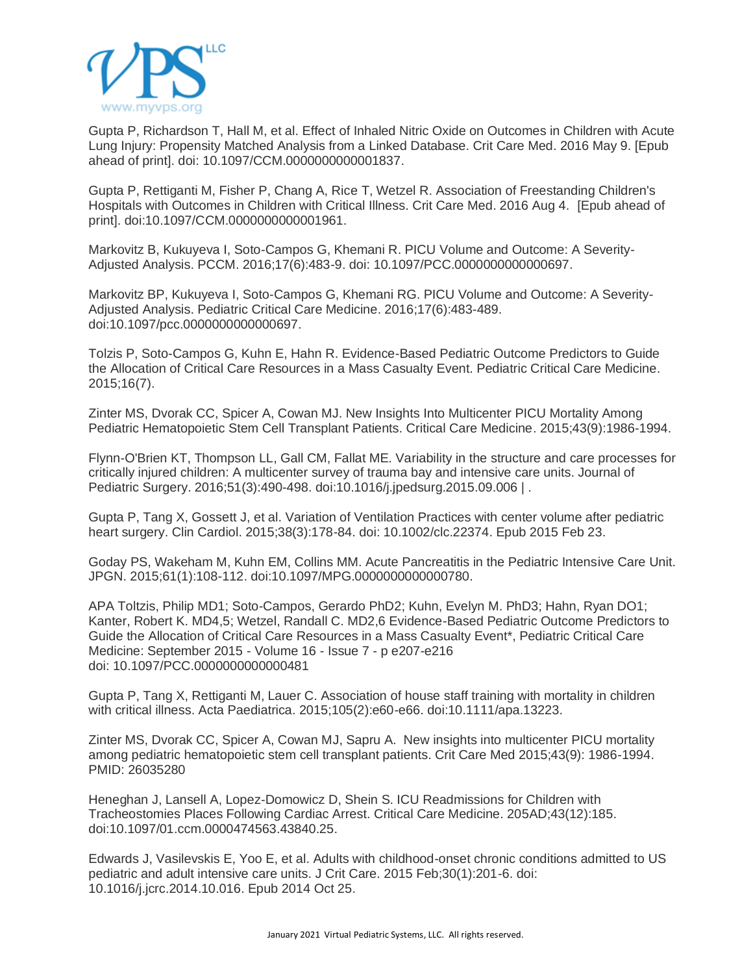

Gupta P, Richardson T, Hall M, et al. Effect of Inhaled Nitric Oxide on Outcomes in Children with Acute Lung Injury: Propensity Matched Analysis from a Linked Database. Crit Care Med. 2016 May 9. [Epub ahead of print]. doi: 10.1097/CCM.0000000000001837.

Gupta P, Rettiganti M, Fisher P, Chang A, Rice T, Wetzel R. Association of Freestanding Children's Hospitals with Outcomes in Children with Critical Illness. Crit Care Med. 2016 Aug 4. [Epub ahead of print]. doi:10.1097/CCM.0000000000001961.

Markovitz B, Kukuyeva I, Soto-Campos G, Khemani R. PICU Volume and Outcome: A Severity-Adjusted Analysis. PCCM. 2016;17(6):483-9. doi: 10.1097/PCC.0000000000000697.

Markovitz BP, Kukuyeva I, Soto-Campos G, Khemani RG. PICU Volume and Outcome: A Severity-Adjusted Analysis. Pediatric Critical Care Medicine. 2016;17(6):483-489. doi:10.1097/pcc.0000000000000697.

Tolzis P, Soto-Campos G, Kuhn E, Hahn R. Evidence-Based Pediatric Outcome Predictors to Guide the Allocation of Critical Care Resources in a Mass Casualty Event. Pediatric Critical Care Medicine. 2015;16(7).

Zinter MS, Dvorak CC, Spicer A, Cowan MJ. New Insights Into Multicenter PICU Mortality Among Pediatric Hematopoietic Stem Cell Transplant Patients. Critical Care Medicine. 2015;43(9):1986-1994.

Flynn-O'Brien KT, Thompson LL, Gall CM, Fallat ME. Variability in the structure and care processes for critically injured children: A multicenter survey of trauma bay and intensive care units. Journal of Pediatric Surgery. 2016;51(3):490-498. doi:10.1016/j.jpedsurg.2015.09.006 | .

Gupta P, Tang X, Gossett J, et al. Variation of Ventilation Practices with center volume after pediatric heart surgery. Clin Cardiol. 2015;38(3):178-84. doi: 10.1002/clc.22374. Epub 2015 Feb 23.

Goday PS, Wakeham M, Kuhn EM, Collins MM. Acute Pancreatitis in the Pediatric Intensive Care Unit. JPGN. 2015;61(1):108-112. doi:10.1097/MPG.0000000000000780.

APA Toltzis, Philip MD1; Soto-Campos, Gerardo PhD2; Kuhn, Evelyn M. PhD3; Hahn, Ryan DO1; Kanter, Robert K. MD4,5; Wetzel, Randall C. MD2,6 Evidence-Based Pediatric Outcome Predictors to Guide the Allocation of Critical Care Resources in a Mass Casualty Event\*, Pediatric Critical Care Medicine: September 2015 - Volume 16 - Issue 7 - p e207-e216 doi: 10.1097/PCC.0000000000000481

Gupta P, Tang X, Rettiganti M, Lauer C. Association of house staff training with mortality in children with critical illness. Acta Paediatrica. 2015;105(2):e60-e66. doi:10.1111/apa.13223.

Zinter MS, Dvorak CC, Spicer A, Cowan MJ, Sapru A. New insights into multicenter PICU mortality among pediatric hematopoietic stem cell transplant patients. Crit Care Med 2015;43(9): 1986-1994. PMID: 26035280

Heneghan J, Lansell A, Lopez-Domowicz D, Shein S. ICU Readmissions for Children with Tracheostomies Places Following Cardiac Arrest. Critical Care Medicine. 205AD;43(12):185. doi:10.1097/01.ccm.0000474563.43840.25.

Edwards J, Vasilevskis E, Yoo E, et al. Adults with childhood-onset chronic conditions admitted to US pediatric and adult intensive care units. J Crit Care. 2015 Feb;30(1):201-6. doi: 10.1016/j.jcrc.2014.10.016. Epub 2014 Oct 25.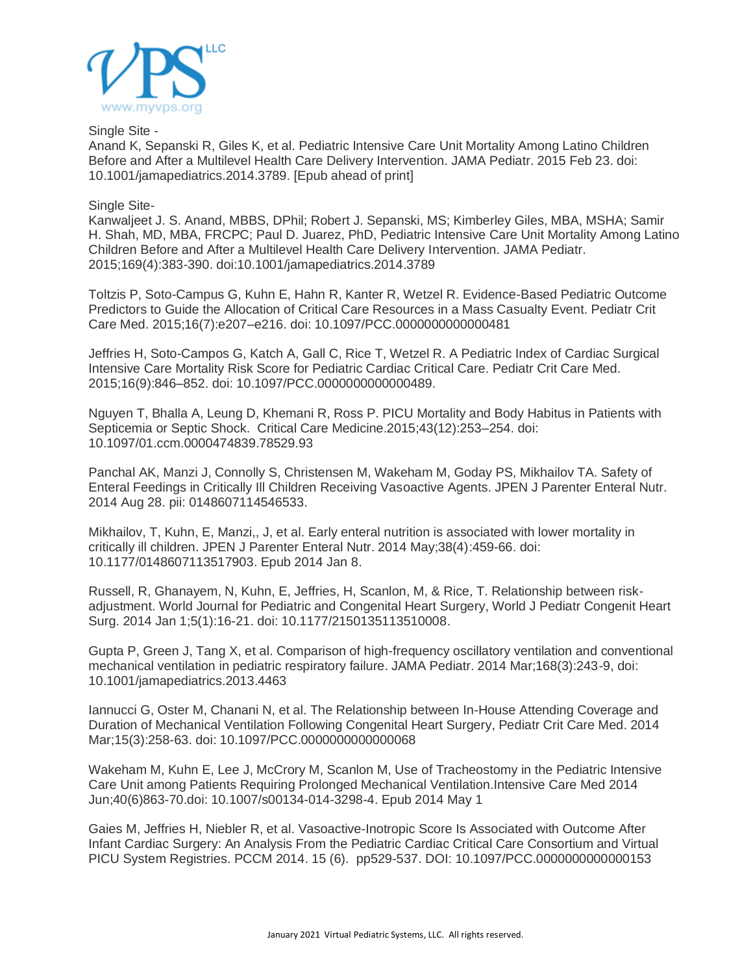

Single Site -

Anand K, Sepanski R, Giles K, et al. Pediatric Intensive Care Unit Mortality Among Latino Children Before and After a Multilevel Health Care Delivery Intervention. JAMA Pediatr. 2015 Feb 23. doi: 10.1001/jamapediatrics.2014.3789. [Epub ahead of print]

## Single Site-

Kanwaljeet J. S. Anand, MBBS, DPhil; Robert J. Sepanski, MS; Kimberley Giles, MBA, MSHA; Samir H. Shah, MD, MBA, FRCPC; Paul D. Juarez, PhD, Pediatric Intensive Care Unit Mortality Among Latino Children Before and After a Multilevel Health Care Delivery Intervention. JAMA Pediatr. 2015;169(4):383-390. doi:10.1001/jamapediatrics.2014.3789

Toltzis P, Soto-Campus G, Kuhn E, Hahn R, Kanter R, Wetzel R. Evidence-Based Pediatric Outcome Predictors to Guide the Allocation of Critical Care Resources in a Mass Casualty Event. Pediatr Crit Care Med. 2015;16(7):e207–e216. doi: 10.1097/PCC.0000000000000481

Jeffries H, Soto-Campos G, Katch A, Gall C, Rice T, Wetzel R. A Pediatric Index of Cardiac Surgical Intensive Care Mortality Risk Score for Pediatric Cardiac Critical Care. Pediatr Crit Care Med. 2015;16(9):846–852. doi: 10.1097/PCC.0000000000000489.

Nguyen T, Bhalla A, Leung D, Khemani R, Ross P. PICU Mortality and Body Habitus in Patients with Septicemia or Septic Shock. Critical Care Medicine.2015;43(12):253–254. doi: 10.1097/01.ccm.0000474839.78529.93

Panchal AK, Manzi J, Connolly S, Christensen M, Wakeham M, Goday PS, Mikhailov TA. Safety of Enteral Feedings in Critically Ill Children Receiving Vasoactive Agents. JPEN J Parenter Enteral Nutr. 2014 Aug 28. pii: 0148607114546533.

Mikhailov, T, Kuhn, E, Manzi,, J, et al. Early enteral nutrition is associated with lower mortality in critically ill children. JPEN J Parenter Enteral Nutr. 2014 May;38(4):459-66. doi: 10.1177/0148607113517903. Epub 2014 Jan 8.

Russell, R, Ghanayem, N, Kuhn, E, Jeffries, H, Scanlon, M, & Rice, T. Relationship between riskadjustment. World Journal for Pediatric and Congenital Heart Surgery, World J Pediatr Congenit Heart Surg. 2014 Jan 1;5(1):16-21. doi: 10.1177/2150135113510008.

Gupta P, Green J, Tang X, et al. Comparison of high-frequency oscillatory ventilation and conventional mechanical ventilation in pediatric respiratory failure. JAMA Pediatr. 2014 Mar;168(3):243-9, doi: 10.1001/jamapediatrics.2013.4463

Iannucci G, Oster M, Chanani N, et al. The Relationship between In-House Attending Coverage and Duration of Mechanical Ventilation Following Congenital Heart Surgery, Pediatr Crit Care Med. 2014 Mar;15(3):258-63. doi: 10.1097/PCC.0000000000000068

Wakeham M, Kuhn E, Lee J, McCrory M, Scanlon M, Use of Tracheostomy in the Pediatric Intensive Care Unit among Patients Requiring Prolonged Mechanical Ventilation.Intensive Care Med 2014 Jun;40(6)863-70.doi: 10.1007/s00134-014-3298-4. Epub 2014 May 1

Gaies M, Jeffries H, Niebler R, et al. Vasoactive-Inotropic Score Is Associated with Outcome After Infant Cardiac Surgery: An Analysis From the Pediatric Cardiac Critical Care Consortium and Virtual PICU System Registries. PCCM 2014. 15 (6). pp529-537. DOI: 10.1097/PCC.0000000000000153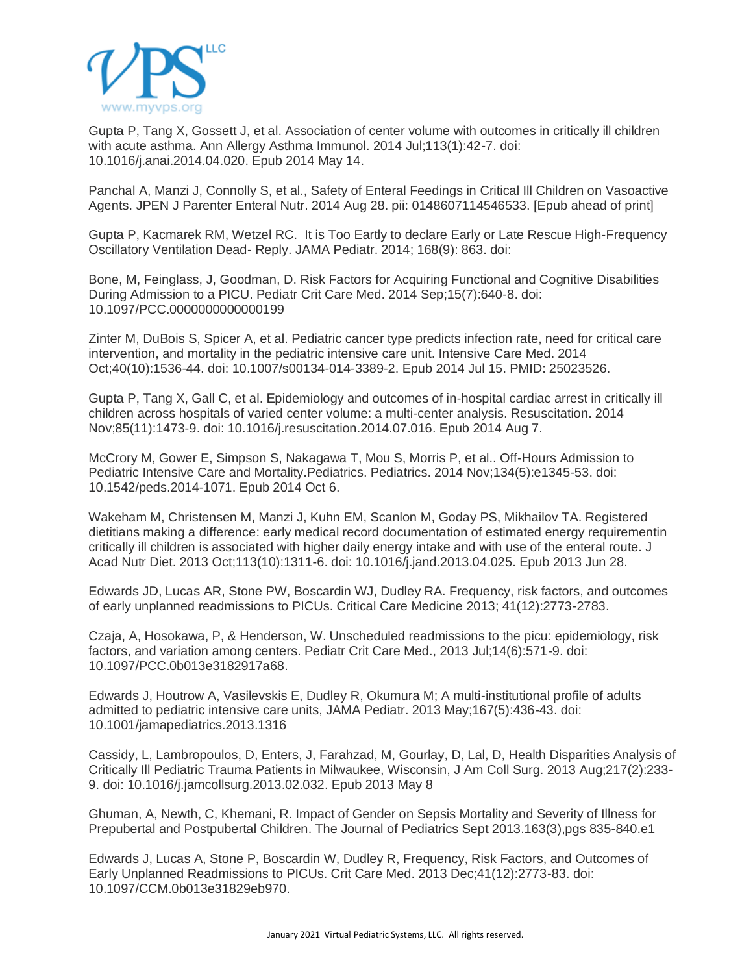

Gupta P, Tang X, Gossett J, et al. Association of center volume with outcomes in critically ill children with acute asthma. Ann Allergy Asthma Immunol. 2014 Jul;113(1):42-7. doi: 10.1016/j.anai.2014.04.020. Epub 2014 May 14.

Panchal A, Manzi J, Connolly S, et al., Safety of Enteral Feedings in Critical Ill Children on Vasoactive Agents. JPEN J Parenter Enteral Nutr. 2014 Aug 28. pii: 0148607114546533. [Epub ahead of print]

Gupta P, Kacmarek RM, Wetzel RC. It is Too Eartly to declare Early or Late Rescue High-Frequency Oscillatory Ventilation Dead- Reply. JAMA Pediatr. 2014; 168(9): 863. doi:

Bone, M, Feinglass, J, Goodman, D. Risk Factors for Acquiring Functional and Cognitive Disabilities During Admission to a PICU. Pediatr Crit Care Med. 2014 Sep;15(7):640-8. doi: 10.1097/PCC.0000000000000199

Zinter M, DuBois S, Spicer A, et al. Pediatric cancer type predicts infection rate, need for critical care intervention, and mortality in the pediatric intensive care unit. Intensive Care Med. 2014 Oct;40(10):1536-44. doi: 10.1007/s00134-014-3389-2. Epub 2014 Jul 15. PMID: 25023526.

Gupta P, Tang X, Gall C, et al. Epidemiology and outcomes of in-hospital cardiac arrest in critically ill children across hospitals of varied center volume: a multi-center analysis. Resuscitation. 2014 Nov;85(11):1473-9. doi: 10.1016/j.resuscitation.2014.07.016. Epub 2014 Aug 7.

McCrory M, Gower E, Simpson S, Nakagawa T, Mou S, Morris P, et al.. Off-Hours Admission to Pediatric Intensive Care and Mortality.Pediatrics. Pediatrics. 2014 Nov;134(5):e1345-53. doi: 10.1542/peds.2014-1071. Epub 2014 Oct 6.

Wakeham M, Christensen M, Manzi J, Kuhn EM, Scanlon M, Goday PS, Mikhailov TA. Registered dietitians making a difference: early medical record documentation of estimated energy requirementin critically ill children is associated with higher daily energy intake and with use of the enteral route. J Acad Nutr Diet. 2013 Oct;113(10):1311-6. doi: 10.1016/j.jand.2013.04.025. Epub 2013 Jun 28.

Edwards JD, Lucas AR, Stone PW, Boscardin WJ, Dudley RA. Frequency, risk factors, and outcomes of early unplanned readmissions to PICUs. Critical Care Medicine 2013; 41(12):2773-2783.

Czaja, A, Hosokawa, P, & Henderson, W. Unscheduled readmissions to the picu: epidemiology, risk factors, and variation among centers. Pediatr Crit Care Med., 2013 Jul;14(6):571-9. doi: 10.1097/PCC.0b013e3182917a68.

Edwards J, Houtrow A, Vasilevskis E, Dudley R, Okumura M; A multi-institutional profile of adults admitted to pediatric intensive care units, JAMA Pediatr. 2013 May;167(5):436-43. doi: 10.1001/jamapediatrics.2013.1316

Cassidy, L, Lambropoulos, D, Enters, J, Farahzad, M, Gourlay, D, Lal, D, Health Disparities Analysis of Critically Ill Pediatric Trauma Patients in Milwaukee, Wisconsin, J Am Coll Surg. 2013 Aug;217(2):233- 9. doi: 10.1016/j.jamcollsurg.2013.02.032. Epub 2013 May 8

Ghuman, A, Newth, C, Khemani, R. Impact of Gender on Sepsis Mortality and Severity of Illness for Prepubertal and Postpubertal Children. The Journal of Pediatrics Sept 2013.163(3),pgs 835-840.e1

Edwards J, Lucas A, Stone P, Boscardin W, Dudley R, Frequency, Risk Factors, and Outcomes of Early Unplanned Readmissions to PICUs. Crit Care Med. 2013 Dec;41(12):2773-83. doi: 10.1097/CCM.0b013e31829eb970.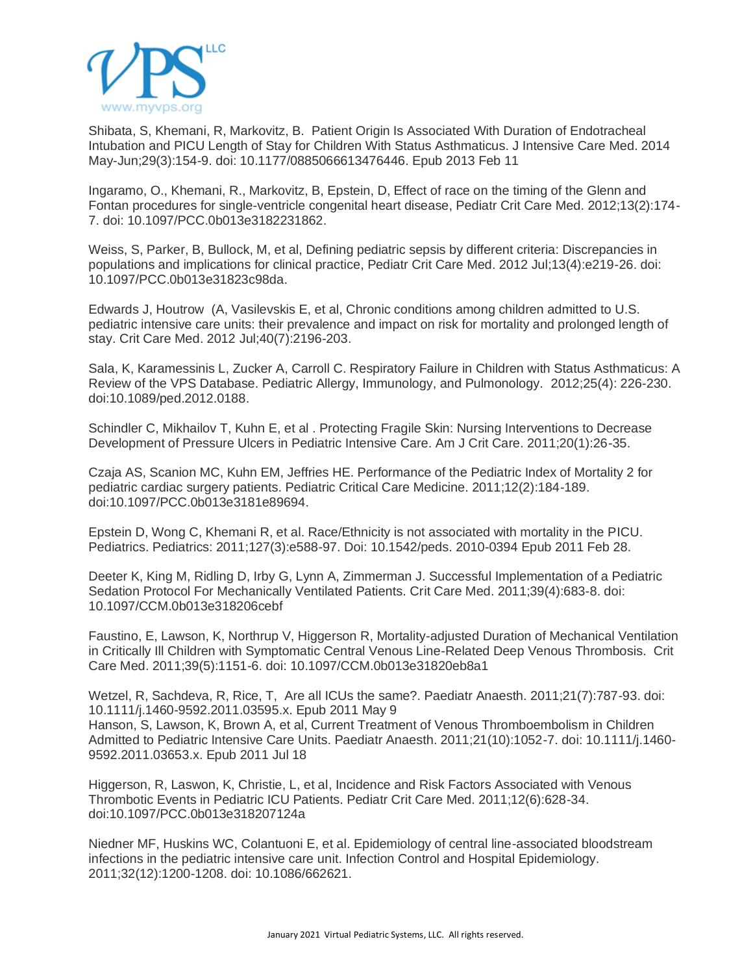

Shibata, S, Khemani, R, Markovitz, B. Patient Origin Is Associated With Duration of Endotracheal Intubation and PICU Length of Stay for Children With Status Asthmaticus. J Intensive Care Med. 2014 May-Jun;29(3):154-9. doi: 10.1177/0885066613476446. Epub 2013 Feb 11

Ingaramo, O., Khemani, R., Markovitz, B, Epstein, D, Effect of race on the timing of the Glenn and Fontan procedures for single-ventricle congenital heart disease, Pediatr Crit Care Med. 2012;13(2):174- 7. doi: 10.1097/PCC.0b013e3182231862.

Weiss, S, Parker, B, Bullock, M, et al, Defining pediatric sepsis by different criteria: Discrepancies in populations and implications for clinical practice, Pediatr Crit Care Med. 2012 Jul;13(4):e219-26. doi: 10.1097/PCC.0b013e31823c98da.

Edwards J, Houtrow (A, Vasilevskis E, et al, Chronic conditions among children admitted to U.S. pediatric intensive care units: their prevalence and impact on risk for mortality and prolonged length of stay. Crit Care Med. 2012 Jul;40(7):2196-203.

Sala, K, Karamessinis L, Zucker A, Carroll C. Respiratory Failure in Children with Status Asthmaticus: A Review of the VPS Database. Pediatric Allergy, Immunology, and Pulmonology. 2012;25(4): 226-230. doi:10.1089/ped.2012.0188.

Schindler C, Mikhailov T, Kuhn E, et al . Protecting Fragile Skin: Nursing Interventions to Decrease Development of Pressure Ulcers in Pediatric Intensive Care. Am J Crit Care. 2011;20(1):26-35.

Czaja AS, Scanion MC, Kuhn EM, Jeffries HE. Performance of the Pediatric Index of Mortality 2 for pediatric cardiac surgery patients. Pediatric Critical Care Medicine. 2011;12(2):184-189. doi:10.1097/PCC.0b013e3181e89694.

Epstein D, Wong C, Khemani R, et al. Race/Ethnicity is not associated with mortality in the PICU. Pediatrics. Pediatrics: 2011;127(3):e588-97. Doi: 10.1542/peds. 2010-0394 Epub 2011 Feb 28.

Deeter K, King M, Ridling D, Irby G, Lynn A, Zimmerman J. Successful Implementation of a Pediatric Sedation Protocol For Mechanically Ventilated Patients. Crit Care Med. 2011;39(4):683-8. doi: 10.1097/CCM.0b013e318206cebf

Faustino, E, Lawson, K, Northrup V, Higgerson R, Mortality-adjusted Duration of Mechanical Ventilation in Critically Ill Children with Symptomatic Central Venous Line-Related Deep Venous Thrombosis. Crit Care Med. 2011;39(5):1151-6. doi: 10.1097/CCM.0b013e31820eb8a1

Wetzel, R, Sachdeva, R, Rice, T, Are all ICUs the same?. Paediatr Anaesth. 2011;21(7):787-93. doi: 10.1111/j.1460-9592.2011.03595.x. Epub 2011 May 9 Hanson, S, Lawson, K, Brown A, et al, Current Treatment of Venous Thromboembolism in Children Admitted to Pediatric Intensive Care Units. Paediatr Anaesth. 2011;21(10):1052-7. doi: 10.1111/j.1460- 9592.2011.03653.x. Epub 2011 Jul 18

Higgerson, R, Laswon, K, Christie, L, et al, Incidence and Risk Factors Associated with Venous Thrombotic Events in Pediatric ICU Patients. Pediatr Crit Care Med. 2011;12(6):628-34. doi:10.1097/PCC.0b013e318207124a

Niedner MF, Huskins WC, Colantuoni E, et al. Epidemiology of central line-associated bloodstream infections in the pediatric intensive care unit. Infection Control and Hospital Epidemiology. 2011;32(12):1200-1208. doi: 10.1086/662621.